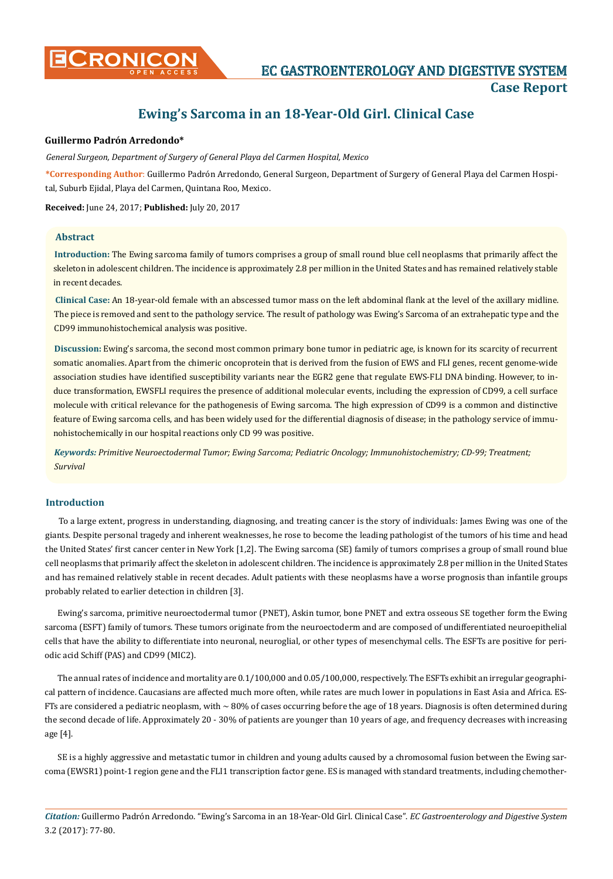# **Ewing's Sarcoma in an 18-Year-Old Girl. Clinical Case**

# **Guillermo Padrón Arredondo\***

*General Surgeon, Department of Surgery of General Playa del Carmen Hospital, Mexico*

**\*Corresponding Author**: Guillermo Padrón Arredondo, General Surgeon, Department of Surgery of General Playa del Carmen Hospital, Suburb Ejidal, Playa del Carmen, Quintana Roo, Mexico.

**Received:** June 24, 2017; **Published:** July 20, 2017

# **Abstract**

**Introduction:** The Ewing sarcoma family of tumors comprises a group of small round blue cell neoplasms that primarily affect the skeleton in adolescent children. The incidence is approximately 2.8 per million in the United States and has remained relatively stable in recent decades.

**Clinical Case:** An 18-year-old female with an abscessed tumor mass on the left abdominal flank at the level of the axillary midline. The piece is removed and sent to the pathology service. The result of pathology was Ewing's Sarcoma of an extrahepatic type and the CD99 immunohistochemical analysis was positive.

**Discussion:** Ewing's sarcoma, the second most common primary bone tumor in pediatric age, is known for its scarcity of recurrent somatic anomalies. Apart from the chimeric oncoprotein that is derived from the fusion of EWS and FLI genes, recent genome-wide association studies have identified susceptibility variants near the EGR2 gene that regulate EWS-FLI DNA binding. However, to induce transformation, EWSFLI requires the presence of additional molecular events, including the expression of CD99, a cell surface molecule with critical relevance for the pathogenesis of Ewing sarcoma. The high expression of CD99 is a common and distinctive feature of Ewing sarcoma cells, and has been widely used for the differential diagnosis of disease; in the pathology service of immunohistochemically in our hospital reactions only CD 99 was positive.

*Keywords: Primitive Neuroectodermal Tumor; Ewing Sarcoma; Pediatric Oncology; Immunohistochemistry; CD-99; Treatment; Survival* 

# **Introduction**

To a large extent, progress in understanding, diagnosing, and treating cancer is the story of individuals: James Ewing was one of the giants. Despite personal tragedy and inherent weaknesses, he rose to become the leading pathologist of the tumors of his time and head the United States' first cancer center in New York [1,2]. The Ewing sarcoma (SE) family of tumors comprises a group of small round blue cell neoplasms that primarily affect the skeleton in adolescent children. The incidence is approximately 2.8 per million in the United States and has remained relatively stable in recent decades. Adult patients with these neoplasms have a worse prognosis than infantile groups probably related to earlier detection in children [3].

Ewing's sarcoma, primitive neuroectodermal tumor (PNET), Askin tumor, bone PNET and extra osseous SE together form the Ewing sarcoma (ESFT) family of tumors. These tumors originate from the neuroectoderm and are composed of undifferentiated neuroepithelial cells that have the ability to differentiate into neuronal, neuroglial, or other types of mesenchymal cells. The ESFTs are positive for periodic acid Schiff (PAS) and CD99 (MIC2).

The annual rates of incidence and mortality are 0.1/100,000 and 0.05/100,000, respectively. The ESFTs exhibit an irregular geographical pattern of incidence. Caucasians are affected much more often, while rates are much lower in populations in East Asia and Africa. ES-FTs are considered a pediatric neoplasm, with  $\sim 80\%$  of cases occurring before the age of 18 years. Diagnosis is often determined during the second decade of life. Approximately 20 - 30% of patients are younger than 10 years of age, and frequency decreases with increasing age [4].

SE is a highly aggressive and metastatic tumor in children and young adults caused by a chromosomal fusion between the Ewing sarcoma (EWSR1) point-1 region gene and the FLI1 transcription factor gene. ES is managed with standard treatments, including chemother-

*Citation:* Guillermo Padrón Arredondo. "Ewing's Sarcoma in an 18-Year-Old Girl. Clinical Case". *EC Gastroenterology and Digestive System*  3.2 (2017): 77-80.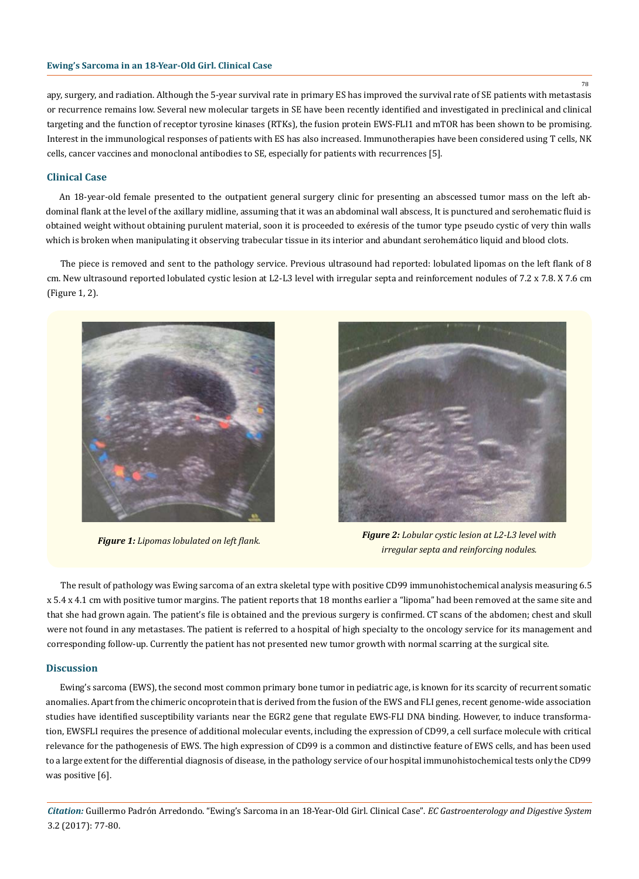### **Ewing's Sarcoma in an 18-Year-Old Girl. Clinical Case**

apy, surgery, and radiation. Although the 5-year survival rate in primary ES has improved the survival rate of SE patients with metastasis or recurrence remains low. Several new molecular targets in SE have been recently identified and investigated in preclinical and clinical targeting and the function of receptor tyrosine kinases (RTKs), the fusion protein EWS-FLI1 and mTOR has been shown to be promising. Interest in the immunological responses of patients with ES has also increased. Immunotherapies have been considered using T cells, NK cells, cancer vaccines and monoclonal antibodies to SE, especially for patients with recurrences [5].

#### **Clinical Case**

An 18-year-old female presented to the outpatient general surgery clinic for presenting an abscessed tumor mass on the left abdominal flank at the level of the axillary midline, assuming that it was an abdominal wall abscess, It is punctured and serohematic fluid is obtained weight without obtaining purulent material, soon it is proceeded to exéresis of the tumor type pseudo cystic of very thin walls which is broken when manipulating it observing trabecular tissue in its interior and abundant serohemático liquid and blood clots.

The piece is removed and sent to the pathology service. Previous ultrasound had reported: lobulated lipomas on the left flank of 8 cm. New ultrasound reported lobulated cystic lesion at L2-L3 level with irregular septa and reinforcement nodules of 7.2 x 7.8. X 7.6 cm (Figure 1, 2).





*Figure 1: Lipomas lobulated on left flank. Figure 2: Lobular cystic lesion at L2-L3 level with irregular septa and reinforcing nodules.*

The result of pathology was Ewing sarcoma of an extra skeletal type with positive CD99 immunohistochemical analysis measuring 6.5 x 5.4 x 4.1 cm with positive tumor margins. The patient reports that 18 months earlier a "lipoma" had been removed at the same site and that she had grown again. The patient's file is obtained and the previous surgery is confirmed. CT scans of the abdomen; chest and skull were not found in any metastases. The patient is referred to a hospital of high specialty to the oncology service for its management and corresponding follow-up. Currently the patient has not presented new tumor growth with normal scarring at the surgical site.

#### **Discussion**

Ewing's sarcoma (EWS), the second most common primary bone tumor in pediatric age, is known for its scarcity of recurrent somatic anomalies. Apart from the chimeric oncoprotein that is derived from the fusion of the EWS and FLI genes, recent genome-wide association studies have identified susceptibility variants near the EGR2 gene that regulate EWS-FLI DNA binding. However, to induce transformation, EWSFLI requires the presence of additional molecular events, including the expression of CD99, a cell surface molecule with critical relevance for the pathogenesis of EWS. The high expression of CD99 is a common and distinctive feature of EWS cells, and has been used to a large extent for the differential diagnosis of disease, in the pathology service of our hospital immunohistochemical tests only the CD99 was positive [6].

*Citation:* Guillermo Padrón Arredondo. "Ewing's Sarcoma in an 18-Year-Old Girl. Clinical Case". *EC Gastroenterology and Digestive System*  3.2 (2017): 77-80.

78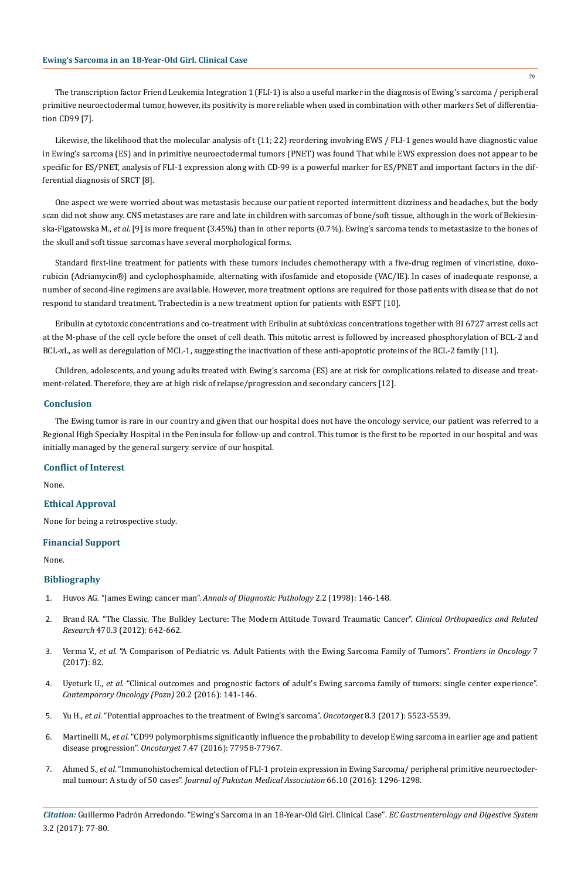The transcription factor Friend Leukemia Integration 1 (FLI-1) is also a useful marker in the diagnosis of Ewing's sarcoma / peripheral primitive neuroectodermal tumor, however, its positivity is more reliable when used in combination with other markers Set of differentiation CD99 [7].

Likewise, the likelihood that the molecular analysis of t (11; 22) reordering involving EWS / FLI-1 genes would have diagnostic value in Ewing's sarcoma (ES) and in primitive neuroectodermal tumors (PNET) was found That while EWS expression does not appear to be specific for ES/PNET, analysis of FLI-1 expression along with CD-99 is a powerful marker for ES/PNET and important factors in the differential diagnosis of SRCT [8].

One aspect we were worried about was metastasis because our patient reported intermittent dizziness and headaches, but the body scan did not show any. CNS metastases are rare and late in children with sarcomas of bone/soft tissue, although in the work of Bekiesinska-Figatowska M., *et al.* [9] is more frequent (3.45%) than in other reports (0.7%). Ewing's sarcoma tends to metastasize to the bones of the skull and soft tissue sarcomas have several morphological forms.

Standard first-line treatment for patients with these tumors includes chemotherapy with a five-drug regimen of vincristine, doxorubicin (Adriamycin®) and cyclophosphamide, alternating with ifosfamide and etoposide (VAC/IE). In cases of inadequate response, a number of second-line regimens are available. However, more treatment options are required for those patients with disease that do not respond to standard treatment. Trabectedin is a new treatment option for patients with ESFT [10].

Eribulin at cytotoxic concentrations and co-treatment with Eribulin at subtóxicas concentrations together with BI 6727 arrest cells act at the M-phase of the cell cycle before the onset of cell death. This mitotic arrest is followed by increased phosphorylation of BCL-2 and BCL-xL, as well as deregulation of MCL-1, suggesting the inactivation of these anti-apoptotic proteins of the BCL-2 family [11].

Children, adolescents, and young adults treated with Ewing's sarcoma (ES) are at risk for complications related to disease and treatment-related. Therefore, they are at high risk of relapse/progression and secondary cancers [12].

## **Conclusion**

The Ewing tumor is rare in our country and given that our hospital does not have the oncology service, our patient was referred to a Regional High Specialty Hospital in the Peninsula for follow-up and control. This tumor is the first to be reported in our hospital and was initially managed by the general surgery service of our hospital.

# **Conflict of Interest**

None.

## **Ethical Approval**

None for being a retrospective study.

# **Financial Support**

None.

## **Bibliography**

- 1. [Huvos AG. "James Ewing: cancer man".](https://www.ncbi.nlm.nih.gov/pubmed/9845732) *Annals of Diagnostic Pathology* 2.2 (1998): 146-148.
- 2. [Brand RA. "The Classic. The Bulkley Lecture: The Modern Attitude Toward Traumatic Cancer".](https://www.ncbi.nlm.nih.gov/pmc/articles/PMC3270173/) *Clinical Orthopaedics and Related Research* [470.3 \(2012\): 642-662.](https://www.ncbi.nlm.nih.gov/pmc/articles/PMC3270173/)
- 3. Verma V., *et al*[. "A Comparison of Pediatric vs. Adult Patients with the Ewing Sarcoma Family of Tumors".](https://www.ncbi.nlm.nih.gov/pubmed/28534008) *Frontiers in Oncology* 7 [\(2017\): 82.](https://www.ncbi.nlm.nih.gov/pubmed/28534008)
- 4. Uyeturk U., *et al*[. "Clinical outcomes and prognostic factors of adult's Ewing sarcoma family of tumors: single center experience".](https://www.ncbi.nlm.nih.gov/pmc/articles/PMC4925728/) *[Contemporary Oncology \(Pozn\)](https://www.ncbi.nlm.nih.gov/pmc/articles/PMC4925728/)* 20.2 (2016): 141-146.
- 5. Yu H., *et al*[. "Potential approaches to the treatment of Ewing's sarcoma".](https://www.ncbi.nlm.nih.gov/pubmed/27740934) *Oncotarget* 8.3 (2017): 5523-5539.
- 6. Martinelli M., *et al*[. "CD99 polymorphisms significantly influence the probability to develop Ewing sarcoma in earlier age and patient](https://www.ncbi.nlm.nih.gov/pubmed/27792997) disease progression". *Oncotarget* [7.47 \(2016\): 77958-77967.](https://www.ncbi.nlm.nih.gov/pubmed/27792997)
- 7. Ahmed S., *et al*[. "Immunohistochemical detection of FLI-1 protein expression in Ewing Sarcoma/ peripheral primitive neuroectoder](https://www.ncbi.nlm.nih.gov/pubmed/27686307)mal tumour: A study of 50 cases". *[Journal of Pakistan Medical Association](https://www.ncbi.nlm.nih.gov/pubmed/27686307)* 66.10 (2016): 1296-1298.

*Citation:* Guillermo Padrón Arredondo. "Ewing's Sarcoma in an 18-Year-Old Girl. Clinical Case". *EC Gastroenterology and Digestive System*  3.2 (2017): 77-80.

79